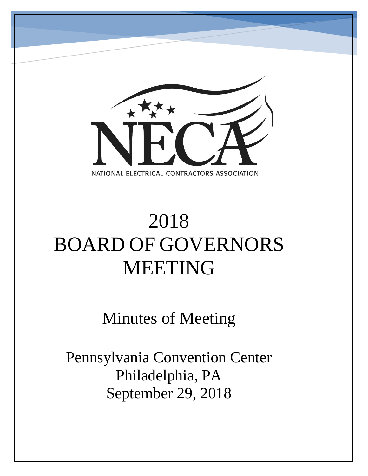

# 2018 BOARD OF GOVERNORS MEETING

Minutes of Meeting

Pennsylvania Convention Center Philadelphia, PA September 29, 2018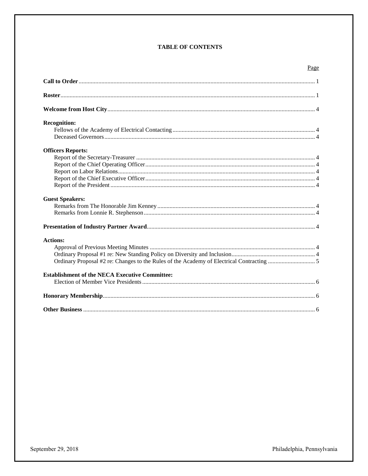# **TABLE OF CONTENTS**

| <b>Recognition:</b>                                   |
|-------------------------------------------------------|
|                                                       |
|                                                       |
|                                                       |
| <b>Officers Reports:</b>                              |
|                                                       |
|                                                       |
|                                                       |
|                                                       |
|                                                       |
| <b>Guest Speakers:</b>                                |
|                                                       |
|                                                       |
|                                                       |
| <b>Actions:</b>                                       |
|                                                       |
|                                                       |
|                                                       |
| <b>Establishment of the NECA Executive Committee:</b> |
|                                                       |
|                                                       |
|                                                       |

Philadelphia, Pennsylvania

Page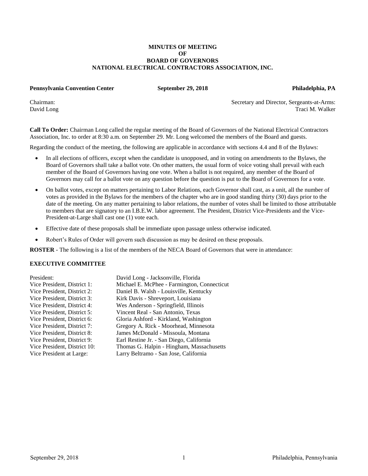#### **MINUTES OF MEETING OF BOARD OF GOVERNORS NATIONAL ELECTRICAL CONTRACTORS ASSOCIATION, INC.**

#### **Pennsylvania Convention Center September 29, 2018 Philadelphia, PA**

Chairman: Secretary and Director, Sergeants-at-Arms: Traci M. Walker

**Call To Order:** Chairman Long called the regular meeting of the Board of Governors of the National Electrical Contractors Association, Inc. to order at 8:30 a.m. on September 29. Mr. Long welcomed the members of the Board and guests.

Regarding the conduct of the meeting, the following are applicable in accordance with sections 4.4 and 8 of the Bylaws:

- In all elections of officers, except when the candidate is unopposed, and in voting on amendments to the Bylaws, the Board of Governors shall take a ballot vote. On other matters, the usual form of voice voting shall prevail with each member of the Board of Governors having one vote. When a ballot is not required, any member of the Board of Governors may call for a ballot vote on any question before the question is put to the Board of Governors for a vote.
- On ballot votes, except on matters pertaining to Labor Relations, each Governor shall cast, as a unit, all the number of votes as provided in the Bylaws for the members of the chapter who are in good standing thirty (30) days prior to the date of the meeting. On any matter pertaining to labor relations, the number of votes shall be limited to those attributable to members that are signatory to an I.B.E.W. labor agreement. The President, District Vice-Presidents and the Vice-President-at-Large shall cast one (1) vote each.
- Effective date of these proposals shall be immediate upon passage unless otherwise indicated.
- Robert's Rules of Order will govern such discussion as may be desired on these proposals.

**ROSTER** - The following is a list of the members of the NECA Board of Governors that were in attendance:

#### **EXECUTIVE COMMITTEE**

| President:                   | David Long - Jacksonville, Florida          |
|------------------------------|---------------------------------------------|
| Vice President, District 1:  | Michael E. McPhee - Farmington, Connecticut |
| Vice President, District 2:  | Daniel B. Walsh - Louisville, Kentucky      |
| Vice President, District 3:  | Kirk Davis - Shreveport, Louisiana          |
| Vice President, District 4:  | Wes Anderson - Springfield, Illinois        |
| Vice President, District 5:  | Vincent Real - San Antonio, Texas           |
| Vice President, District 6:  | Gloria Ashford - Kirkland, Washington       |
| Vice President, District 7:  | Gregory A. Rick - Moorhead, Minnesota       |
| Vice President, District 8:  | James McDonald - Missoula, Montana          |
| Vice President, District 9:  | Earl Restine Jr. - San Diego, California    |
| Vice President, District 10: | Thomas G. Halpin - Hingham, Massachusetts   |
| Vice President at Large:     | Larry Beltramo - San Jose, California       |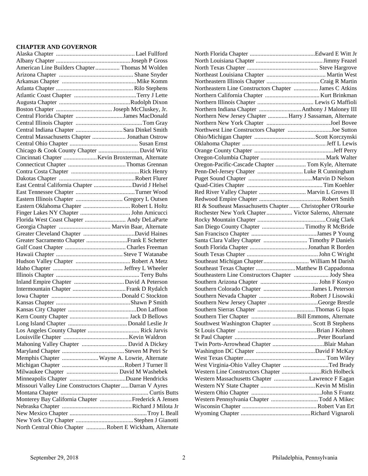## **CHAPTER AND GOVERNOR**

| American Line Builders Chapter  Thomas M Wolden           |                                                        |
|-----------------------------------------------------------|--------------------------------------------------------|
|                                                           |                                                        |
|                                                           |                                                        |
|                                                           |                                                        |
|                                                           |                                                        |
|                                                           |                                                        |
|                                                           |                                                        |
| Central Florida Chapter James MacDonald                   |                                                        |
|                                                           |                                                        |
| Central Indiana Chapter  Sara Dinkel Smith                |                                                        |
| Central Massachusetts Chapter  Jonathan Ostrow            |                                                        |
|                                                           |                                                        |
| Chicago & Cook County Chapter  David Witz                 |                                                        |
|                                                           |                                                        |
|                                                           |                                                        |
|                                                           |                                                        |
|                                                           |                                                        |
| East Central California Chapter  David J Helsel           |                                                        |
|                                                           |                                                        |
|                                                           |                                                        |
| Eastern Illinois Chapter  Gregory L Outsen                |                                                        |
| Eastern Oklahoma Chapter  Robert L Holtz                  |                                                        |
|                                                           |                                                        |
| Florida West Coast Chapter  Andy DeLaParte                |                                                        |
| Georgia Chapter  Marvin Baar, Alternate                   |                                                        |
|                                                           |                                                        |
| Greater Sacramento Chapter Frank E Schetter               |                                                        |
|                                                           |                                                        |
|                                                           |                                                        |
|                                                           |                                                        |
|                                                           |                                                        |
|                                                           |                                                        |
|                                                           |                                                        |
|                                                           |                                                        |
|                                                           |                                                        |
|                                                           |                                                        |
|                                                           |                                                        |
|                                                           |                                                        |
|                                                           |                                                        |
|                                                           |                                                        |
|                                                           |                                                        |
| Mahoning Valley Chapter  David A Dickey                   |                                                        |
|                                                           |                                                        |
| Memphis Chapter  Wayne A. Lowrie, Alternate               |                                                        |
|                                                           |                                                        |
|                                                           |                                                        |
|                                                           |                                                        |
| Missouri Valley Line Constructors Chapter  Darran V Ayres |                                                        |
|                                                           |                                                        |
|                                                           | Monterey Bay California Chapter Frederick A Jensen     |
|                                                           |                                                        |
|                                                           |                                                        |
|                                                           |                                                        |
|                                                           |                                                        |
|                                                           | North Central Ohio Chapter Robert E Wickham, Alternate |

| Northeastern Line Constructors Chapter  James C Atkins     |  |
|------------------------------------------------------------|--|
|                                                            |  |
|                                                            |  |
|                                                            |  |
| Northern New Jersey Chapter  Harry J Sassaman, Alternate   |  |
|                                                            |  |
| Northwest Line Constructors Chapter Joe Sutton             |  |
|                                                            |  |
|                                                            |  |
|                                                            |  |
|                                                            |  |
|                                                            |  |
| Oregon-Pacific-Cascade Chapter  Tom Kyle, Alternate        |  |
|                                                            |  |
|                                                            |  |
|                                                            |  |
| Red River Valley Chapter  Marvin L Groves II               |  |
|                                                            |  |
| RI & Southeast Massachusetts Chapter  Christopher O'Rourke |  |
| Rochester New York Chapter  Victor Salerno, Alternate      |  |
|                                                            |  |
| San Diego County Chapter  Timothy R McBride                |  |
|                                                            |  |
| Santa Clara Valley Chapter  Timothy P Daniels              |  |
|                                                            |  |
|                                                            |  |
| Southeast Michigan Chapter William M Darish                |  |
| Southeast Texas Chapter  Matthew B Cappadonna              |  |
| Southeastern Line Constructors Chapter  Jody Shea          |  |
|                                                            |  |
|                                                            |  |
|                                                            |  |
| Southern Colorado Chapter James L Peterson                 |  |
|                                                            |  |
| Southern New Jersey Chapter George Brestle                 |  |
|                                                            |  |
|                                                            |  |
| Southwest Washington Chapter  Scott B Stephens             |  |
|                                                            |  |
|                                                            |  |
|                                                            |  |
|                                                            |  |
|                                                            |  |
| West Virginia-Ohio Valley Chapter Ted Brady                |  |
| Western Line Constructors Chapter Rich Holbeck             |  |
| Western Massachusetts Chapter Lawrence F Eagan             |  |
|                                                            |  |
|                                                            |  |
|                                                            |  |
| Western Pennsylvania Chapter  Todd A Mikec                 |  |
|                                                            |  |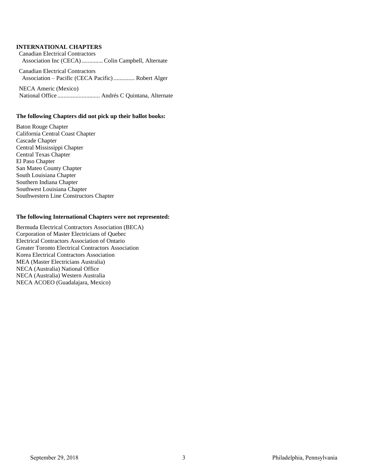## **INTERNATIONAL CHAPTERS**

Canadian Electrical Contractors Association Inc (CECA).............. Colin Campbell, Alternate

Canadian Electrical Contractors Association – Pacific (CECA Pacific).............. Robert Alger

NECA Americ (Mexico) National Office ............................ Andrés C Quintana, Alternate

## **The following Chapters did not pick up their ballot books:**

Baton Rouge Chapter California Central Coast Chapter Cascade Chapter Central Mississippi Chapter Central Texas Chapter El Paso Chapter San Mateo County Chapter South Louisiana Chapter Southern Indiana Chapter Southwest Louisiana Chapter Southwestern Line Constructors Chapter

#### **The following International Chapters were not represented:**

Bermuda Electrical Contractors Association (BECA) Corporation of Master Electricians of Quebec Electrical Contractors Association of Ontario Greater Toronto Electrical Contractors Association Korea Electrical Contractors Association MEA (Master Electricians Australia) NECA (Australia) National Office NECA (Australia) Western Australia NECA ACOEO (Guadalajara, Mexico)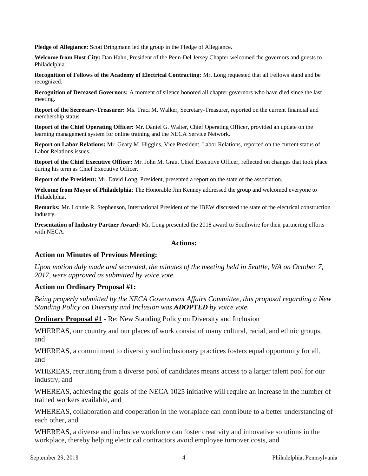**Pledge of Allegiance:** Scott Bringmann led the group in the Pledge of Allegiance.

**Welcome from Host City:** Dan Hahn, President of the Penn-Del Jersey Chapter welcomed the governors and guests to Philadelphia.

**Recognition of Fellows of the Academy of Electrical Contracting:** Mr. Long requested that all Fellows stand and be recognized.

**Recognition of Deceased Governors:** A moment of silence honored all chapter governors who have died since the last meeting.

**Report of the Secretary-Treasurer:** Ms. Traci M. Walker, Secretary-Treasurer, reported on the current financial and membership status.

**Report of the Chief Operating Officer:** Mr. Daniel G. Walter, Chief Operating Officer, provided an update on the learning management system for online training and the NECA Service Network.

**Report on Labor Relations:** Mr. Geary M. Higgins, Vice President, Labor Relations, reported on the current status of Labor Relations issues.

**Report of the Chief Executive Officer:** Mr. John M. Grau, Chief Executive Officer, reflected on changes that took place during his term as Chief Executive Officer.

**Report of the President:** Mr. David Long, President, presented a report on the state of the association.

**Welcome from Mayor of Philadelphia**: The Honorable Jim Kenney addressed the group and welcomed everyone to Philadelphia.

**Remarks:** Mr. Lonnie R. Stephenson, International President of the IBEW discussed the state of the electrical construction industry.

**Presentation of Industry Partner Award:** Mr. Long presented the 2018 award to Southwire for their partnering efforts with NECA.

## **Actions:**

## **Action on Minutes of Previous Meeting:**

*Upon motion duly made and seconded, the minutes of the meeting held in Seattle, WA on October 7, 2017, were approved as submitted by voice vote.*

## **Action on Ordinary Proposal #1:**

*Being properly submitted by the NECA Government Affairs Committee, this proposal regarding a New Standing Policy on Diversity and Inclusion was ADOPTED by voice vote.*

**Ordinary Proposal #1** - Re: New Standing Policy on Diversity and Inclusion

WHEREAS, our country and our places of work consist of many cultural, racial, and ethnic groups, and

WHEREAS, a commitment to diversity and inclusionary practices fosters equal opportunity for all, and

WHEREAS, recruiting from a diverse pool of candidates means access to a larger talent pool for our industry, and

WHEREAS, achieving the goals of the NECA 1025 initiative will require an increase in the number of trained workers available, and

WHEREAS, collaboration and cooperation in the workplace can contribute to a better understanding of each other, and

WHEREAS, a diverse and inclusive workforce can foster creativity and innovative solutions in the workplace, thereby helping electrical contractors avoid employee turnover costs, and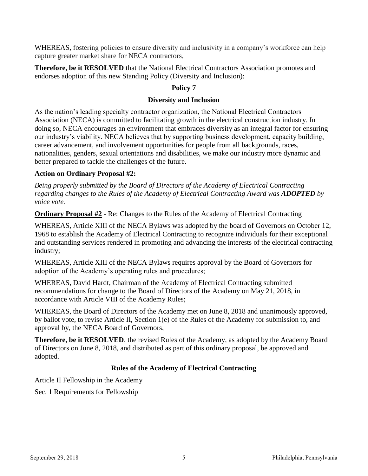WHEREAS, fostering policies to ensure diversity and inclusivity in a company's workforce can help capture greater market share for NECA contractors,

**Therefore, be it RESOLVED** that the National Electrical Contractors Association promotes and endorses adoption of this new Standing Policy (Diversity and Inclusion):

# **Policy 7**

# **Diversity and Inclusion**

As the nation's leading specialty contractor organization, the National Electrical Contractors Association (NECA) is committed to facilitating growth in the electrical construction industry. In doing so, NECA encourages an environment that embraces diversity as an integral factor for ensuring our industry's viability. NECA believes that by supporting business development, capacity building, career advancement, and involvement opportunities for people from all backgrounds, races, nationalities, genders, sexual orientations and disabilities, we make our industry more dynamic and better prepared to tackle the challenges of the future.

# **Action on Ordinary Proposal #2:**

*Being properly submitted by the Board of Directors of the Academy of Electrical Contracting regarding changes to the Rules of the Academy of Electrical Contracting Award was <i>ADOPTED* by *voice vote.*

**Ordinary Proposal #2** - Re: Changes to the Rules of the Academy of Electrical Contracting

WHEREAS, Article XIII of the NECA Bylaws was adopted by the board of Governors on October 12, 1968 to establish the Academy of Electrical Contracting to recognize individuals for their exceptional and outstanding services rendered in promoting and advancing the interests of the electrical contracting industry;

WHEREAS, Article XIII of the NECA Bylaws requires approval by the Board of Governors for adoption of the Academy's operating rules and procedures;

WHEREAS, David Hardt, Chairman of the Academy of Electrical Contracting submitted recommendations for change to the Board of Directors of the Academy on May 21, 2018, in accordance with Article VIII of the Academy Rules;

WHEREAS, the Board of Directors of the Academy met on June 8, 2018 and unanimously approved, by ballot vote, to revise Article II, Section 1(e) of the Rules of the Academy for submission to, and approval by, the NECA Board of Governors,

**Therefore, be it RESOLVED**, the revised Rules of the Academy, as adopted by the Academy Board of Directors on June 8, 2018, and distributed as part of this ordinary proposal, be approved and adopted.

# **Rules of the Academy of Electrical Contracting**

Article II Fellowship in the Academy

Sec. 1 Requirements for Fellowship